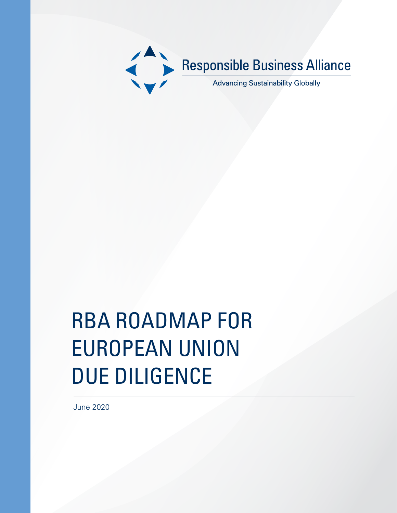

# RBA ROADMAP FOR EUROPEAN UNION DUE DILIGENCE

June 2020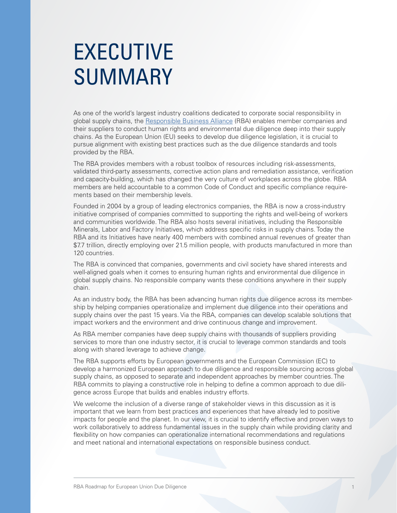# EXECUTIVE SUMMARY

As one of the world's largest industry coalitions dedicated to corporate social responsibility in global supply chains, the [Responsible Business Alliance](http://www.responsiblebusiness.org/) (RBA) enables member companies and their suppliers to conduct human rights and environmental due diligence deep into their supply chains. As the European Union (EU) seeks to develop due diligence legislation, it is crucial to pursue alignment with existing best practices such as the due diligence standards and tools provided by the RBA.

The RBA provides members with a robust toolbox of resources including risk-assessments, validated third-party assessments, corrective action plans and remediation assistance, verification and capacity-building, which has changed the very culture of workplaces across the globe. RBA members are held accountable to a common Code of Conduct and specific compliance requirements based on their membership levels.

Founded in 2004 by a group of leading electronics companies, the RBA is now a cross-industry initiative comprised of companies committed to supporting the rights and well-being of workers and communities worldwide. The RBA also hosts several initiatives, including the Responsible Minerals, Labor and Factory Initiatives, which address specific risks in supply chains. Today the RBA and its Initiatives have nearly 400 members with combined annual revenues of greater than \$7.7 trillion, directly employing over 21.5 million people, with products manufactured in more than 120 countries.

The RBA is convinced that companies, governments and civil society have shared interests and well-aligned goals when it comes to ensuring human rights and environmental due diligence in global supply chains. No responsible company wants these conditions anywhere in their supply chain.

As an industry body, the RBA has been advancing human rights due diligence across its membership by helping companies operationalize and implement due diligence into their operations and supply chains over the past 15 years. Via the RBA, companies can develop scalable solutions that impact workers and the environment and drive continuous change and improvement.

As RBA member companies have deep supply chains with thousands of suppliers providing services to more than one industry sector, it is crucial to leverage common standards and tools along with shared leverage to achieve change.

The RBA supports efforts by European governments and the European Commission (EC) to develop a harmonized European approach to due diligence and responsible sourcing across global supply chains, as opposed to separate and independent approaches by member countries. The RBA commits to playing a constructive role in helping to define a common approach to due diligence across Europe that builds and enables industry efforts.

We welcome the inclusion of a diverse range of stakeholder views in this discussion as it is important that we learn from best practices and experiences that have already led to positive impacts for people and the planet. In our view, it is crucial to identify effective and proven ways to work collaboratively to address fundamental issues in the supply chain while providing clarity and flexibility on how companies can operationalize international recommendations and regulations and meet national and international expectations on responsible business conduct.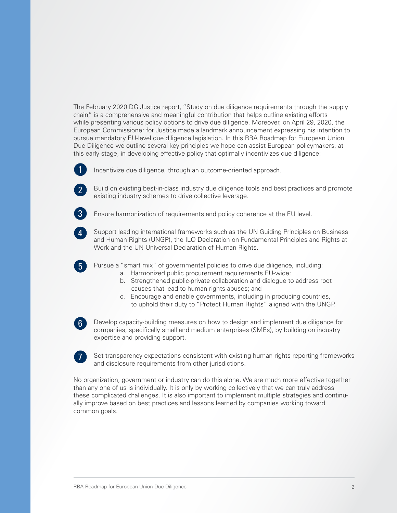The February 2020 DG Justice report, "Study on due diligence requirements through the supply chain," is a comprehensive and meaningful contribution that helps outline existing efforts while presenting various policy options to drive due diligence. Moreover, on April 29, 2020, the European Commissioner for Justice made a landmark announcement expressing his intention to pursue mandatory EU-level due diligence legislation. In this RBA Roadmap for European Union Due Diligence we outline several key principles we hope can assist European policymakers, at this early stage, in developing effective policy that optimally incentivizes due diligence:



Incentivize due diligence, through an outcome-oriented approach.



Build on existing best-in-class industry due diligence tools and best practices and promote existing industry schemes to drive collective leverage.



5

7

Ensure harmonization of requirements and policy coherence at the EU level.

1. Support leading international frameworks such as the UN Guiding Principles on Business and Human Rights (UNGP), the ILO Declaration on Fundamental Principles and Rights at Work and the UN Universal Declaration of Human Rights. 4

Pursue a "smart mix" of governmental policies to drive due diligence, including:

- a. Harmonized public procurement requirements EU-wide;
	- b. Strengthened public-private collaboration and dialogue to address root causes that lead to human rights abuses; and
- c. Encourage and enable governments, including in producing countries, to uphold their duty to "Protect Human Rights" aligned with the UNGP.

Develop capacity-building measures on how to design and implement due diligence for companies, specifically small and medium enterprises (SMEs), by building on industry expertise and providing support. 6

Set transparency expectations consistent with existing human rights reporting frameworks and disclosure requirements from other jurisdictions.

No organization, government or industry can do this alone. We are much more effective together than any one of us is individually. It is only by working collectively that we can truly address these complicated challenges. It is also important to implement multiple strategies and continually improve based on best practices and lessons learned by companies working toward common goals.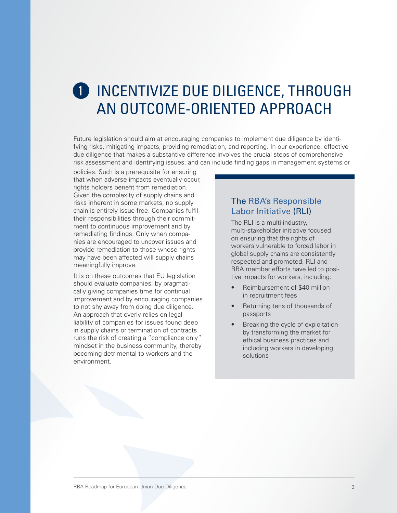## **O** INCENTIVIZE DUE DILIGENCE, THROUGH AN OUTCOME-ORIENTED APPROACH

Future legislation should aim at encouraging companies to implement due diligence by identifying risks, mitigating impacts, providing remediation, and reporting. In our experience, effective due diligence that makes a substantive difference involves the crucial steps of comprehensive risk assessment and identifying issues, and can include finding gaps in management systems or

policies. Such is a prerequisite for ensuring that when adverse impacts eventually occur, rights holders benefit from remediation. Given the complexity of supply chains and risks inherent in some markets, no supply chain is entirely issue-free. Companies fulfil their responsibilities through their commitment to continuous improvement and by remediating findings. Only when companies are encouraged to uncover issues and provide remediation to those whose rights may have been affected will supply chains meaningfully improve.

It is on these outcomes that EU legislation should evaluate companies, by pragmatically giving companies time for continual improvement and by encouraging companies to not shy away from doing due diligence. An approach that overly relies on legal liability of companies for issues found deep in supply chains or termination of contracts runs the risk of creating a "compliance only" mindset in the business community, thereby becoming detrimental to workers and the environment.

#### The [RBA's Responsible](http://www.responsiblelabor.org)  [Labor Initiative](http://www.responsiblelabor.org) (RLI)

The RLI is a multi-industry, multi-stakeholder initiative focused on ensuring that the rights of workers vulnerable to forced labor in global supply chains are consistently respected and promoted. RLI and RBA member efforts have led to positive impacts for workers, including:

- Reimbursement of \$40 million in recruitment fees
- Returning tens of thousands of passports
- Breaking the cycle of exploitation by transforming the market for ethical business practices and including workers in developing solutions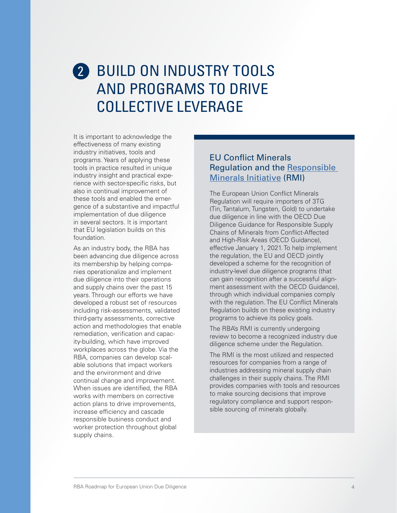## 2 BUILD ON INDUSTRY TOOLS AND PROGRAMS TO DRIVE COLLECTIVE LEVERAGE

It is important to acknowledge the effectiveness of many existing industry initiatives, tools and programs. Years of applying these tools in practice resulted in unique industry insight and practical experience with sector-specific risks, but also in continual improvement of these tools and enabled the emergence of a substantive and impactful implementation of due diligence in several sectors. It is important that EU legislation builds on this foundation.

As an industry body, the RBA has been advancing due diligence across its membership by helping companies operationalize and implement due diligence into their operations and supply chains over the past 15 years. Through our efforts we have developed a robust set of resources including risk-assessments, validated third-party assessments, corrective action and methodologies that enable remediation, verification and capacity-building, which have improved workplaces across the globe. Via the RBA, companies can develop scalable solutions that impact workers and the environment and drive continual change and improvement. When issues are identified, the RBA works with members on corrective action plans to drive improvements, increase efficiency and cascade responsible business conduct and worker protection throughout global supply chains.

#### EU Conflict Minerals Regulation and the Responsible Minerals Initiative (RMI)

The European Union Conflict Minerals Regulation will require importers of 3TG (Tin, Tantalum, Tungsten, Gold) to undertake due diligence in line with the OECD Due Diligence Guidance for Responsible Supply Chains of Minerals from Conflict-Affected and High-Risk Areas (OECD Guidance), effective January 1, 2021. To help implement the regulation, the EU and OECD jointly developed a scheme for the recognition of industry-level due diligence programs (that can gain recognition after a successful alignment assessment with the OECD Guidance), through which individual companies comply with the regulation. The EU Conflict Minerals Regulation builds on these existing industry programs to achieve its policy goals.

The RBA's RMI is currently undergoing review to become a recognized industry due diligence scheme under the Regulation.

The RMI is the most utilized and respected resources for companies from a range of industries addressing mineral supply chain challenges in their supply chains. The RMI provides companies with tools and resources to make sourcing decisions that improve regulatory compliance and support responsible sourcing of minerals globally.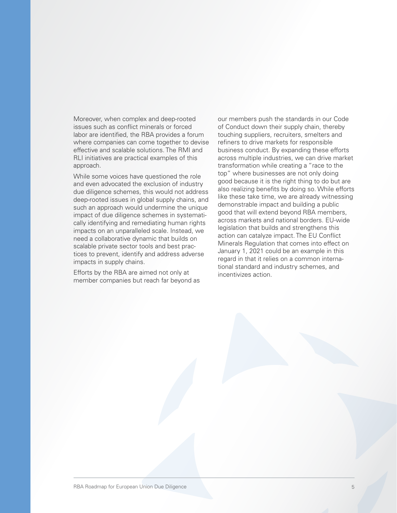Moreover, when complex and deep-rooted issues such as conflict minerals or forced labor are identified, the RBA provides a forum where companies can come together to devise effective and scalable solutions. The RMI and RLI initiatives are practical examples of this approach.

While some voices have questioned the role and even advocated the exclusion of industry due diligence schemes, this would not address deep-rooted issues in global supply chains, and such an approach would undermine the unique impact of due diligence schemes in systematically identifying and remediating human rights impacts on an unparalleled scale. Instead, we need a collaborative dynamic that builds on scalable private sector tools and best practices to prevent, identify and address adverse impacts in supply chains.

Efforts by the RBA are aimed not only at member companies but reach far beyond as our members push the standards in our Code of Conduct down their supply chain, thereby touching suppliers, recruiters, smelters and refiners to drive markets for responsible business conduct. By expanding these efforts across multiple industries, we can drive market transformation while creating a "race to the top" where businesses are not only doing good because it is the right thing to do but are also realizing benefits by doing so. While efforts like these take time, we are already witnessing demonstrable impact and building a public good that will extend beyond RBA members, across markets and national borders. EU-wide legislation that builds and strengthens this action can catalyze impact. The EU Conflict Minerals Regulation that comes into effect on January 1, 2021 could be an example in this regard in that it relies on a common international standard and industry schemes, and incentivizes action.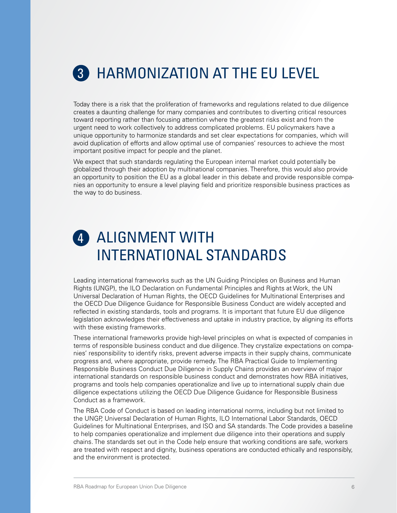## **3** HARMONIZATION AT THE EU LEVEL

Today there is a risk that the proliferation of frameworks and regulations related to due diligence creates a daunting challenge for many companies and contributes to diverting critical resources toward reporting rather than focusing attention where the greatest risks exist and from the urgent need to work collectively to address complicated problems. EU policymakers have a unique opportunity to harmonize standards and set clear expectations for companies, which will avoid duplication of efforts and allow optimal use of companies' resources to achieve the most important positive impact for people and the planet.

We expect that such standards regulating the European internal market could potentially be globalized through their adoption by multinational companies. Therefore, this would also provide an opportunity to position the EU as a global leader in this debate and provide responsible companies an opportunity to ensure a level playing field and prioritize responsible business practices as the way to do business.

## 4 ALIGNMENT WITH INTERNATIONAL STANDARDS

Leading international frameworks such as the UN Guiding Principles on Business and Human Rights (UNGP), the ILO Declaration on Fundamental Principles and Rights at Work, the UN Universal Declaration of Human Rights, the OECD Guidelines for Multinational Enterprises and the OECD Due Diligence Guidance for Responsible Business Conduct are widely accepted and reflected in existing standards, tools and programs. It is important that future EU due diligence legislation acknowledges their effectiveness and uptake in industry practice, by aligning its efforts with these existing frameworks.

These international frameworks provide high-level principles on what is expected of companies in terms of responsible business conduct and due diligence. They crystalize expectations on companies' responsibility to identify risks, prevent adverse impacts in their supply chains, communicate progress and, where appropriate, provide remedy. The RBA Practical Guide to Implementing Responsible Business Conduct Due Diligence in Supply Chains provides an overview of major international standards on responsible business conduct and demonstrates how RBA initiatives, programs and tools help companies operationalize and live up to international supply chain due diligence expectations utilizing the OECD Due Diligence Guidance for Responsible Business Conduct as a framework.

The RBA Code of Conduct is based on leading international norms, including but not limited to the UNGP, Universal Declaration of Human Rights, ILO International Labor Standards, OECD Guidelines for Multinational Enterprises, and ISO and SA standards. The Code provides a baseline to help companies operationalize and implement due diligence into their operations and supply chains. The standards set out in the Code help ensure that working conditions are safe, workers are treated with respect and dignity, business operations are conducted ethically and responsibly, and the environment is protected.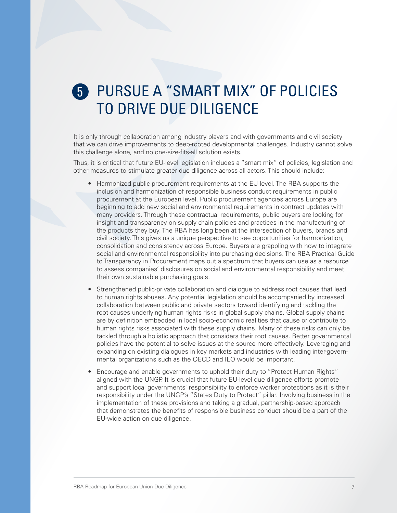## 5. PURSUE A "SMART MIX" OF POLICIES 5 TO DRIVE DUE DILIGENCE

It is only through collaboration among industry players and with governments and civil society that we can drive improvements to deep-rooted developmental challenges. Industry cannot solve this challenge alone, and no one-size-fits-all solution exists.

Thus, it is critical that future EU-level legislation includes a "smart mix" of policies, legislation and other measures to stimulate greater due diligence across all actors. This should include:

- Harmonized public procurement requirements at the EU level. The RBA supports the inclusion and harmonization of responsible business conduct requirements in public procurement at the European level. Public procurement agencies across Europe are beginning to add new social and environmental requirements in contract updates with many providers. Through these contractual requirements, public buyers are looking for insight and transparency on supply chain policies and practices in the manufacturing of the products they buy. The RBA has long been at the intersection of buyers, brands and civil society. This gives us a unique perspective to see opportunities for harmonization, consolidation and consistency across Europe. Buyers are grappling with how to integrate social and environmental responsibility into purchasing decisions. The RBA Practical Guide to Transparency in Procurement maps out a spectrum that buyers can use as a resource to assess companies' disclosures on social and environmental responsibility and meet their own sustainable purchasing goals.
- Strengthened public-private collaboration and dialogue to address root causes that lead to human rights abuses. Any potential legislation should be accompanied by increased collaboration between public and private sectors toward identifying and tackling the root causes underlying human rights risks in global supply chains. Global supply chains are by definition embedded in local socio-economic realities that cause or contribute to human rights risks associated with these supply chains. Many of these risks can only be tackled through a holistic approach that considers their root causes. Better governmental policies have the potential to solve issues at the source more effectively. Leveraging and expanding on existing dialogues in key markets and industries with leading inter-governmental organizations such as the OECD and ILO would be important.
- Encourage and enable governments to uphold their duty to "Protect Human Rights" aligned with the UNGP. It is crucial that future EU-level due diligence efforts promote and support local governments' responsibility to enforce worker protections as it is their responsibility under the UNGP's "States Duty to Protect" pillar. Involving business in the implementation of these provisions and taking a gradual, partnership-based approach that demonstrates the benefits of responsible business conduct should be a part of the EU-wide action on due diligence.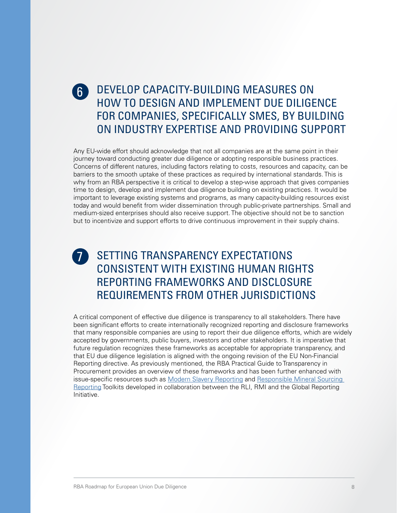#### 6. DEVELOP CAPACITY-BUILDING MEASURES ON HOW TO DESIGN AND IMPLEMENT DUE DILIGENCE FOR COMPANIES, SPECIFICALLY SMES, BY BUILDING ON INDUSTRY EXPERTISE AND PROVIDING SUPPORT 6

Any EU-wide effort should acknowledge that not all companies are at the same point in their journey toward conducting greater due diligence or adopting responsible business practices. Concerns of different natures, including factors relating to costs, resources and capacity, can be barriers to the smooth uptake of these practices as required by international standards. This is why from an RBA perspective it is critical to develop a step-wise approach that gives companies time to design, develop and implement due diligence building on existing practices. It would be important to leverage existing systems and programs, as many capacity-building resources exist today and would benefit from wider dissemination through public-private partnerships. Small and medium-sized enterprises should also receive support. The objective should not be to sanction but to incentivize and support efforts to drive continuous improvement in their supply chains.

### **SETTING TRANSPARENCY EXPECTATIONS** CONSISTENT WITH EXISTING HUMAN RIGHTS REPORTING FRAMEWORKS AND DISCLOSURE REQUIREMENTS FROM OTHER JURISDICTIONS 7

A critical component of effective due diligence is transparency to all stakeholders. There have been significant efforts to create internationally recognized reporting and disclosure frameworks that many responsible companies are using to report their due diligence efforts, which are widely accepted by governments, public buyers, investors and other stakeholders. It is imperative that future regulation recognizes these frameworks as acceptable for appropriate transparency, and that EU due diligence legislation is aligned with the ongoing revision of the EU Non-Financial Reporting directive. As previously mentioned, the RBA Practical Guide to Transparency in Procurement provides an overview of these frameworks and has been further enhanced with issue-specific resources such as [Modern Slavery Reporting](https://www.globalreporting.org/resourcelibrary/RLI-GRI_Advancing-Modern-Slavery-Reporting-to-Meet-Stakeholder-Expectations.pdf) and [Responsible Mineral Sourcing](https://www.globalreporting.org/resourcelibrary/RMI-GRI_Advancing-Reporting-on-Responsible-Minerals-Sourcing.pdf)  [Reporting](https://www.globalreporting.org/resourcelibrary/RMI-GRI_Advancing-Reporting-on-Responsible-Minerals-Sourcing.pdf) Toolkits developed in collaboration between the RLI, RMI and the Global Reporting Initiative.